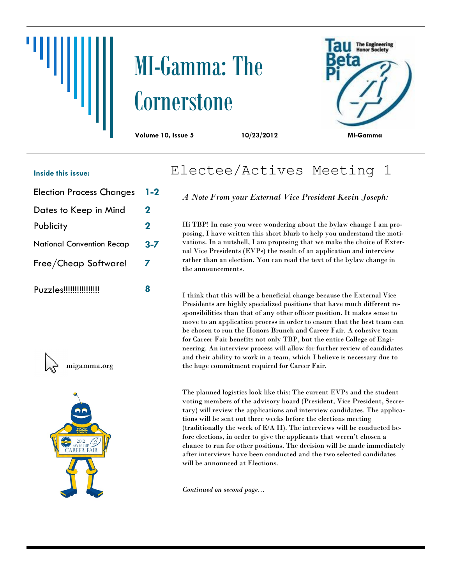# MI-Gamma: The **Cornerstone**



#### **Inside this issue:**

- Election Process Changes **1-2**
- Dates to Keep in Mind **2**
- Publicity **2**
- National Convention Recap **3-7**
- Free/Cheap Software! **7**
- Puzzles!!!!!!!!!!!!!!!! **8**



migamma.org



# Electee/Actives Meeting 1

*A Note From your External Vice President Kevin Joseph:*

Hi TBP! In case you were wondering about the bylaw change I am proposing, I have written this short blurb to help you understand the motivations. In a nutshell, I am proposing that we make the choice of External Vice Presidents (EVPs) the result of an application and interview rather than an election. You can read the text of the bylaw change in the announcements.

I think that this will be a beneficial change because the External Vice Presidents are highly specialized positions that have much different responsibilities than that of any other officer position. It makes sense to move to an application process in order to ensure that the best team can be chosen to run the Honors Brunch and Career Fair. A cohesive team for Career Fair benefits not only TBP, but the entire College of Engineering. An interview process will allow for further review of candidates and their ability to work in a team, which I believe is necessary due to the huge commitment required for Career Fair.

The planned logistics look like this: The current EVPs and the student voting members of the advisory board (President, Vice President, Secretary) will review the applications and interview candidates. The applications will be sent out three weeks before the elections meeting (traditionally the week of E/A II). The interviews will be conducted before elections, in order to give the applicants that weren't chosen a chance to run for other positions. The decision will be made immediately after interviews have been conducted and the two selected candidates will be announced at Elections.

*Continued on second page...*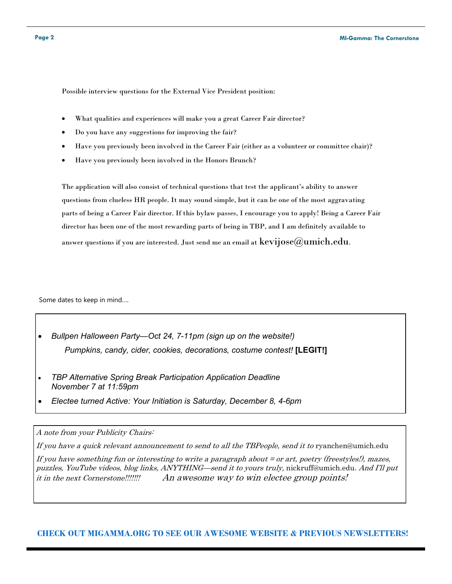Possible interview questions for the External Vice President position:

- What qualities and experiences will make you a great Career Fair director?
- Do you have any suggestions for improving the fair?
- Have you previously been involved in the Career Fair (either as a volunteer or committee chair)?
- Have you previously been involved in the Honors Brunch?

The application will also consist of technical questions that test the applicant's ability to answer questions from clueless HR people. It may sound simple, but it can be one of the most aggravating parts of being a Career Fair director. If this bylaw passes, I encourage you to apply! Being a Career Fair director has been one of the most rewarding parts of being in TBP, and I am definitely available to answer questions if you are interested. Just send me an email at  $\text{kevijose}(a)$ umich.edu.

Some dates to keep in mind….

- *Bullpen Halloween Party—Oct 24, 7-11pm (sign up on the website!) Pumpkins, candy, cider, cookies, decorations, costume contest!* **[LEGIT!]**
- *TBP Alternative Spring Break Participation Application Deadline November 7 at 11:59pm*
- *Electee turned Active: Your Initiation is Saturday, December 8, 4-6pm*

#### A note from your Publicity Chairs:

If you have a quick relevant announcement to send to all the TBPeople, send it to ryanchen@umich.edu

If you have something fun or interesting to write a paragraph about = or art, poetry (freestyles!), mazes, puzzles, YouTube videos, blog links, ANYTHING—send it to yours truly, nickruff@umich.edu. And I'll put it in the next Cornerstone!!!!!!! An awesome way to win electee group points!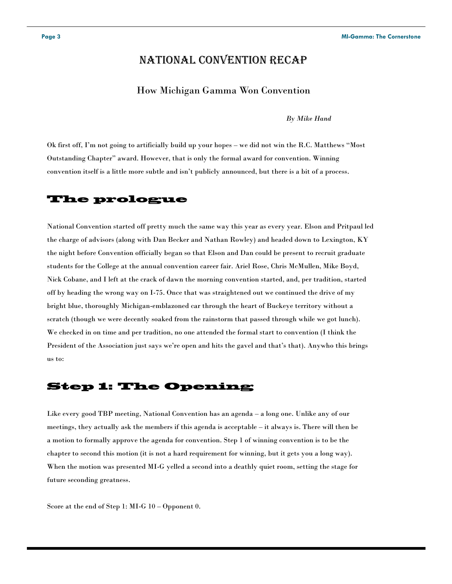# National Convention Recap

#### How Michigan Gamma Won Convention

*By Mike Hand*

Ok first off, I'm not going to artificially build up your hopes – we did not win the R.C. Matthews "Most Outstanding Chapter" award. However, that is only the formal award for convention. Winning convention itself is a little more subtle and isn't publicly announced, but there is a bit of a process.

## **The prologue**

National Convention started off pretty much the same way this year as every year. Elson and Pritpaul led the charge of advisors (along with Dan Becker and Nathan Rowley) and headed down to Lexington, KY the night before Convention officially began so that Elson and Dan could be present to recruit graduate students for the College at the annual convention career fair. Ariel Rose, Chris McMullen, Mike Boyd, Nick Cobane, and I left at the crack of dawn the morning convention started, and, per tradition, started off by heading the wrong way on I-75. Once that was straightened out we continued the drive of my bright blue, thoroughly Michigan-emblazoned car through the heart of Buckeye territory without a scratch (though we were decently soaked from the rainstorm that passed through while we got lunch). We checked in on time and per tradition, no one attended the formal start to convention (I think the President of the Association just says we're open and hits the gavel and that's that). Anywho this brings us to:

# **Step 1: The Opening**

Like every good TBP meeting, National Convention has an agenda – a long one. Unlike any of our meetings, they actually ask the members if this agenda is acceptable – it always is. There will then be a motion to formally approve the agenda for convention. Step 1 of winning convention is to be the chapter to second this motion (it is not a hard requirement for winning, but it gets you a long way). When the motion was presented MI-G yelled a second into a deathly quiet room, setting the stage for future seconding greatness.

Score at the end of Step 1: MI-G 10 – Opponent 0.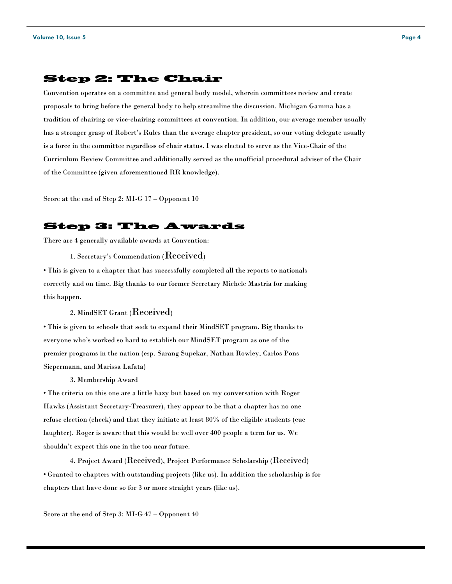#### **Step 2: The Chair**

Convention operates on a committee and general body model, wherein committees review and create proposals to bring before the general body to help streamline the discussion. Michigan Gamma has a tradition of chairing or vice-chairing committees at convention. In addition, our average member usually has a stronger grasp of Robert's Rules than the average chapter president, so our voting delegate usually is a force in the committee regardless of chair status. I was elected to serve as the Vice-Chair of the Curriculum Review Committee and additionally served as the unofficial procedural adviser of the Chair of the Committee (given aforementioned RR knowledge).

Score at the end of Step 2: MI-G 17 – Opponent 10

# **Step 3: The Awards**

There are 4 generally available awards at Convention:

1. Secretary's Commendation (Received)

• This is given to a chapter that has successfully completed all the reports to nationals correctly and on time. Big thanks to our former Secretary Michele Mastria for making this happen.

#### 2. MindSET Grant (Received)

• This is given to schools that seek to expand their MindSET program. Big thanks to everyone who's worked so hard to establish our MindSET program as one of the premier programs in the nation (esp. Sarang Supekar, Nathan Rowley, Carlos Pons Siepermann, and Marissa Lafata)

3. Membership Award

• The criteria on this one are a little hazy but based on my conversation with Roger Hawks (Assistant Secretary-Treasurer), they appear to be that a chapter has no one refuse election (check) and that they initiate at least 80% of the eligible students (cue laughter). Roger is aware that this would be well over 400 people a term for us. We shouldn't expect this one in the too near future.

4. Project Award (Received), Project Performance Scholarship (Received) • Granted to chapters with outstanding projects (like us). In addition the scholarship is for chapters that have done so for 3 or more straight years (like us).

Score at the end of Step 3: MI-G 47 – Opponent 40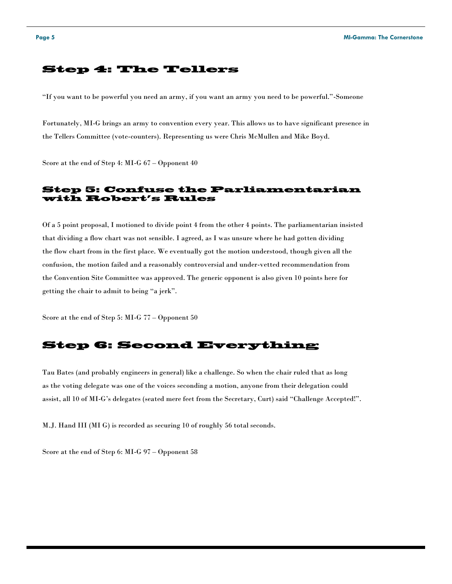# **Step 4: The Tellers**

"If you want to be powerful you need an army, if you want an army you need to be powerful."-Someone

Fortunately, MI-G brings an army to convention every year. This allows us to have significant presence in the Tellers Committee (vote-counters). Representing us were Chris McMullen and Mike Boyd.

Score at the end of Step 4: MI-G 67 – Opponent 40

#### **Step 5: Confuse the Parliamentarian** with Robert's Rules

Of a 5 point proposal, I motioned to divide point 4 from the other 4 points. The parliamentarian insisted that dividing a flow chart was not sensible. I agreed, as I was unsure where he had gotten dividing the flow chart from in the first place. We eventually got the motion understood, though given all the confusion, the motion failed and a reasonably controversial and under-vetted recommendation from the Convention Site Committee was approved. The generic opponent is also given 10 points here for getting the chair to admit to being "a jerk".

Score at the end of Step 5: MI-G 77 – Opponent 50

## **Step 6: Second Everything**

Tau Bates (and probably engineers in general) like a challenge. So when the chair ruled that as long as the voting delegate was one of the voices seconding a motion, anyone from their delegation could assist, all 10 of MI-G's delegates (seated mere feet from the Secretary, Curt) said "Challenge Accepted!".

M.J. Hand III (MI G) is recorded as securing 10 of roughly 56 total seconds.

Score at the end of Step 6: MI-G 97 – Opponent 58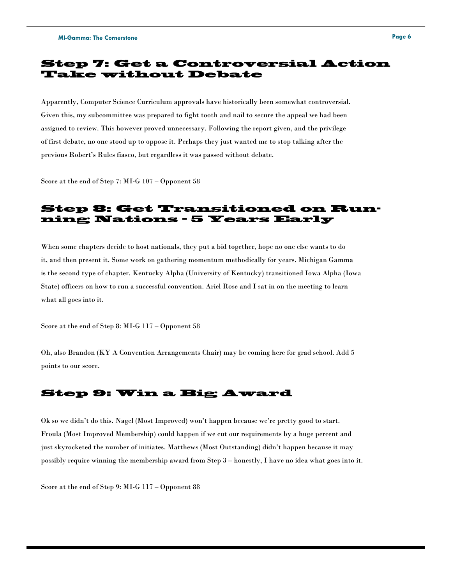# **Step 7: Get a Controversial Action Take without Debate**

Apparently, Computer Science Curriculum approvals have historically been somewhat controversial. Given this, my subcommittee was prepared to fight tooth and nail to secure the appeal we had been assigned to review. This however proved unnecessary. Following the report given, and the privilege of first debate, no one stood up to oppose it. Perhaps they just wanted me to stop talking after the previous Robert's Rules fiasco, but regardless it was passed without debate.

Score at the end of Step 7: MI-G 107 – Opponent 58

# **Step 8: Get Transitioned on Running Nations - 5 Years Early**

When some chapters decide to host nationals, they put a bid together, hope no one else wants to do it, and then present it. Some work on gathering momentum methodically for years. Michigan Gamma is the second type of chapter. Kentucky Alpha (University of Kentucky) transitioned Iowa Alpha (Iowa State) officers on how to run a successful convention. Ariel Rose and I sat in on the meeting to learn what all goes into it.

Score at the end of Step 8: MI-G 117 – Opponent 58

Oh, also Brandon (KY A Convention Arrangements Chair) may be coming here for grad school. Add 5 points to our score.

#### **Step 9: Win a Big Award**

Ok so we didn't do this. Nagel (Most Improved) won't happen because we're pretty good to start. Froula (Most Improved Membership) could happen if we cut our requirements by a huge percent and just skyrocketed the number of initiates. Matthews (Most Outstanding) didn't happen because it may possibly require winning the membership award from Step 3 – honestly, I have no idea what goes into it.

Score at the end of Step 9: MI-G 117 – Opponent 88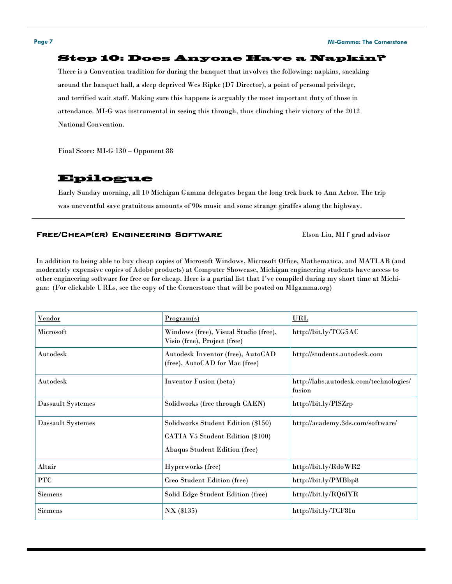#### **Page 7 MI-Gamma: The Cornerstone**

#### **Step 10: Does Anyone Have a Napkin?**

There is a Convention tradition for during the banquet that involves the following: napkins, sneaking around the banquet hall, a sleep deprived Wes Ripke (D7 Director), a point of personal privilege, and terrified wait staff. Making sure this happens is arguably the most important duty of those in attendance. MI-G was instrumental in seeing this through, thus clinching their victory of the 2012 National Convention.

Final Score: MI-G 130 – Opponent 88

#### **Epilogue**

Early Sunday morning, all 10 Michigan Gamma delegates began the long trek back to Ann Arbor. The trip was uneventful save gratuitous amounts of 90s music and some strange giraffes along the highway.

#### Free/Cheap(er) Engineering Software Elson Liu, MI Γ grad advisor

In addition to being able to buy cheap copies of Microsoft Windows, Microsoft Office, Mathematica, and MATLAB (and moderately expensive copies of Adobe products) at Computer Showcase, Michigan engineering students have access to other engineering software for free or for cheap. Here is a partial list that I've compiled during my short time at Michigan: (For clickable URLs, see the copy of the Cornerstone that will be posted on MIgamma.org)

| Vendor                   | Program(s)                                                                                                     | <b>URL</b>                                       |
|--------------------------|----------------------------------------------------------------------------------------------------------------|--------------------------------------------------|
| <b>Microsoft</b>         | Windows (free), Visual Studio (free),<br>Visio (free), Project (free)                                          | http://bit.ly/TCG5AC                             |
| Autodesk                 | Autodesk Inventor (free), AutoCAD<br>(free), AutoCAD for Mac (free)                                            | http://students.autodesk.com                     |
| Autodesk                 | <b>Inventor Fusion (beta)</b>                                                                                  | http://labs.autodesk.com/technologies/<br>fusion |
| <b>Dassault Systemes</b> | Solidworks (free through CAEN)                                                                                 | http://bit.ly/PlSZrp                             |
| <b>Dassault Systemes</b> | Solidworks Student Edition (\$150)<br>CATIA V5 Student Edition (\$100)<br><b>Abaqus Student Edition (free)</b> | http://academy.3ds.com/software/                 |
| Altair                   | Hyperworks (free)                                                                                              | http://bit.ly/RdoWR2                             |
| <b>PTC</b>               | Creo Student Edition (free)                                                                                    | http://bit.ly/PMBbp8                             |
| <b>Siemens</b>           | Solid Edge Student Edition (free)                                                                              | http://bit.ly/RQ6lYR                             |
| <b>Siemens</b>           | NX (\$135)                                                                                                     | http://bit.ly/TCF8Iu                             |